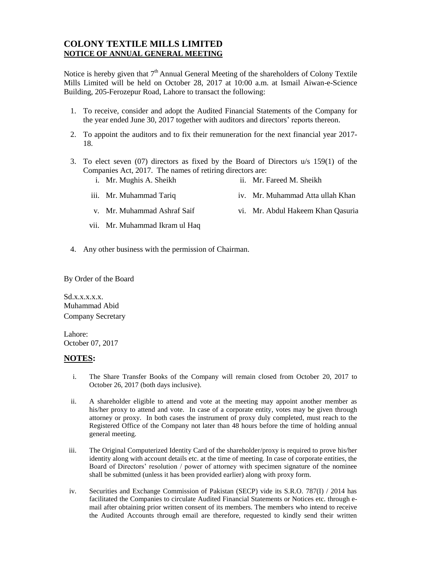## **COLONY TEXTILE MILLS LIMITED NOTICE OF ANNUAL GENERAL MEETING**

Notice is hereby given that  $7<sup>th</sup>$  Annual General Meeting of the shareholders of Colony Textile Mills Limited will be held on October 28, 2017 at 10:00 a.m. at Ismail Aiwan-e-Science Building, 205-Ferozepur Road, Lahore to transact the following:

- 1. To receive, consider and adopt the Audited Financial Statements of the Company for the year ended June 30, 2017 together with auditors and directors' reports thereon.
- 2. To appoint the auditors and to fix their remuneration for the next financial year 2017- 18.
- 3. To elect seven (07) directors as fixed by the Board of Directors u/s 159(1) of the Companies Act, 2017. The names of retiring directors are:
	- i. Mr. Mughis A. Sheikh ii. Mr. Fareed M. Sheikh
	- iii. Mr. Muhammad Tariq iv. Mr. Muhammad Atta ullah Khan
	- v. Mr. Muhammad Ashraf Saif vi. Mr. Abdul Hakeem Khan Qasuria
	- vii. Mr. Muhammad Ikram ul Haq
- 4. Any other business with the permission of Chairman.

By Order of the Board

 $Sd.x.x.x.x.x.$ Muhammad Abid Company Secretary

Lahore: October 07, 2017

## **NOTES:**

- i. The Share Transfer Books of the Company will remain closed from October 20, 2017 to October 26, 2017 (both days inclusive).
- ii. A shareholder eligible to attend and vote at the meeting may appoint another member as his/her proxy to attend and vote. In case of a corporate entity, votes may be given through attorney or proxy. In both cases the instrument of proxy duly completed, must reach to the Registered Office of the Company not later than 48 hours before the time of holding annual general meeting.
- iii. The Original Computerized Identity Card of the shareholder/proxy is required to prove his/her identity along with account details etc. at the time of meeting. In case of corporate entities, the Board of Directors' resolution / power of attorney with specimen signature of the nominee shall be submitted (unless it has been provided earlier) along with proxy form.
- iv. Securities and Exchange Commission of Pakistan (SECP) vide its S.R.O. 787(I) / 2014 has facilitated the Companies to circulate Audited Financial Statements or Notices etc. through email after obtaining prior written consent of its members. The members who intend to receive the Audited Accounts through email are therefore, requested to kindly send their written